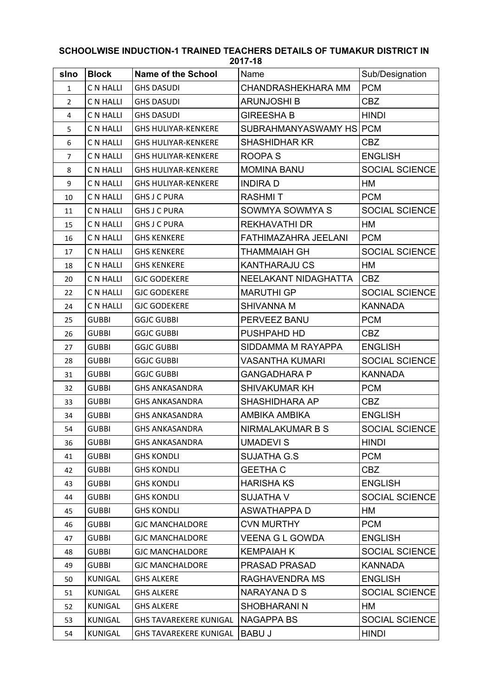## **slno Block Name of the School** Name Sub/Designation 1 C N HALLI GHS DASUDI CHANDRASHEKHARA MM PCM 2 C N HALLI GHS DASUDI ARUNJOSHI B CBZ 4 C N HALLI GHS DASUDI GIREESHA B HINDI 5 C N HALLI GHS HULIYAR-KENKERE SUBRAHMANYASWAMY HS PCM 6 C N HALLI GHS HULIYAR-KENKERE SHASHIDHAR KR 7 C N HALLI GHS HULIYAR-KENKERE ROOPA S ENGLISH 8 CN HALLI GHS HULIYAR-KENKERE MOMINA BANU SOCIAL SCIENCE 9 C N HALLI GHS HULIYAR-KENKERE INDIRA D 10 CNHALLI GHS J C PURA RASHMIT PCM 11 C N HALLI GHS J C PURA SOWMYA SOWMYA SOWMYA S 15 C N HALLI GHS J C PURA REKHAVATHI DR HM 16 C N HALLI GHS KENKERE FATHIMAZAHRA JEELANI PCM 17 C N HALLI GHS KENKERE THAMMAIAH GH SOCIAL SCIENCE 18 C N HALLI GHS KENKERE KANTHARAJU CS HM 20 C N HALLI GJC GODEKERE NEELAKANT NIDAGHATTA CBZ 22 C N HALLI GJC GODEKERE MARUTHI GP SOCIAL SCIENCE 24 C N HALLI GJC GODEKERE SHIVANNA M KANNADA 25 GUBBI GGJC GUBBI PERVEEZ BANU PCM 26 GUBBI GGJC GUBBI PUSHPAHD HD CBZ 27 GUBBI GGJC GUBBI SIDDAMMA M RAYAPPA ENGLISH 28 GUBBI GGJC GUBBI VASANTHA KUMARI SOCIAL SCIENCE 31 GUBBI GGJC GUBBI GANGADHARA P KANNADA 32 GUBBI GHS ANKASANDRA SHIVAKUMAR KH PCM 33 GUBBI GHS ANKASANDRA SHASHIDHARA AP CBZ 34 GUBBI GHS ANKASANDRA AMBIKA AMBIKA ENGLISH 54 GUBBI GHS ANKASANDRA NIRMALAKUMAR B S SOCIAL SCIENCE 36 GUBBI GHS ANKASANDRA UMADEVI S HINDI 41 | GUBBI | GHS KONDLI | SUJATHA G.S | PCM 42 | GUBBI | GHS KONDLI | GEETHA C | CBZ 43 GUBBI GHS KONDLI HARISHA KS ENGLISH 44 | GUBBI | GHS KONDLI | SUJATHA V | SOCIAL SCIENCE 45 GUBBI GHS KONDLI ASWATHAPPA D HM 46 GUBBI GJC MANCHALDORE CVN MURTHY PCM 47 GUBBI GJC MANCHALDORE VEENA G L GOWDA ENGLISH 48 | GUBBI | GJC MANCHALDORE | KEMPAIAH K | SOCIAL SCIENCE 49 GUBBI GUC MANCHALDORE PRASAD PRASAD KANNADA 50 KUNIGAL GHS ALKERE RAGHAVENDRA MS ENGLISH 51 KUNIGAL GHS ALKERE NARAYANA D S SOCIAL SCIENCE 52 KUNIGAL GHS ALKERE SHOBHARANI N HM 53 KUNIGAL GHS TAVAREKERE KUNIGAL NAGAPPA BS SOCIAL SCIENCE 54 KUNIGAL GHS TAVAREKERE KUNIGAL BABU JANA HINDI HINDI

## **SCHOOLWISE INDUCTION-1 TRAINED TEACHERS DETAILS OF TUMAKUR DISTRICT IN 2017-18**